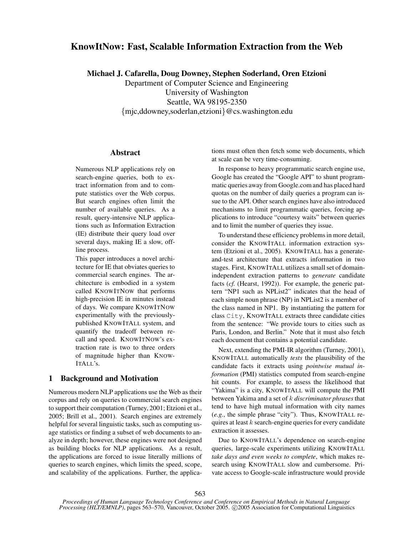# **KnowItNow: Fast, Scalable Information Extraction from the Web**

**Michael J. Cafarella, Doug Downey, Stephen Soderland, Oren Etzioni**

Department of Computer Science and Engineering University of Washington Seattle, WA 98195-2350 {mjc,ddowney,soderlan,etzioni}@cs.washington.edu

# **Abstract**

Numerous NLP applications rely on search-engine queries, both to extract information from and to compute statistics over the Web corpus. But search engines often limit the number of available queries. As a result, query-intensive NLP applications such as Information Extraction (IE) distribute their query load over several days, making IE a slow, offline process.

This paper introduces a novel architecture for IE that obviates queries to commercial search engines. The architecture is embodied in a system called KNOWITNOW that performs high-precision IE in minutes instead of days. We compare KNOWITNOW experimentally with the previouslypublished KNOWITALL system, and quantify the tradeoff between recall and speed. KNOWITNOW's extraction rate is two to three orders of magnitude higher than KNOW-ITALL's.

## **1 Background and Motivation**

Numerous modern NLP applications use the Web as their corpus and rely on queries to commercial search engines to support their computation (Turney, 2001; Etzioni et al., 2005; Brill et al., 2001). Search engines are extremely helpful for several linguistic tasks, such as computing usage statistics or finding a subset of web documents to analyze in depth; however, these engines were not designed as building blocks for NLP applications. As a result, the applications are forced to issue literally millions of queries to search engines, which limits the speed, scope, and scalability of the applications. Further, the applications must often then fetch some web documents, which at scale can be very time-consuming.

In response to heavy programmatic search engine use, Google has created the "Google API" to shunt programmatic queries away from Google.com and has placed hard quotas on the number of daily queries a program can issue to the API. Other search engines have also introduced mechanisms to limit programmatic queries, forcing applications to introduce "courtesy waits" between queries and to limit the number of queries they issue.

To understand these efficiency problemsin more detail, consider the KNOWITALL information extraction system (Etzioni et al., 2005). KNOWITALL has a generateand-test architecture that extracts information in two stages. First, KNOWITALL utilizes a small set of domainindependent extraction patterns to *generate* candidate facts (*cf.* (Hearst, 1992)). For example, the generic pattern "NP1 such as NPList2" indicates that the head of each simple noun phrase (NP) in NPList2 is a member of the class named in NP1. By instantiating the pattern for class City, KNOWITALL extracts three candidate cities from the sentence: "We provide tours to cities such as Paris, London, and Berlin." Note that it must also fetch each document that contains a potential candidate.

Next, extending the PMI-IR algorithm (Turney, 2001), KNOWITALL automatically *tests* the plausibility of the candidate facts it extracts using *pointwise mutual information* (PMI) statistics computed from search-engine hit counts. For example, to assess the likelihood that "Yakima" is a city, KNOWITALL will compute the PMI between Yakima and a set of k *discriminator phrases* that tend to have high mutual information with city names (*e.g.*, the simple phrase "city"). Thus, KNOWITALL requires at least  $k$  search-engine queries for every candidate extraction it assesses.

Due to KNOWITALL's dependence on search-engine queries, large-scale experiments utilizing KNOWITALL *take days and even weeks to complete*, which makes research using KNOWITALL slow and cumbersome. Private access to Google-scale infrastructure would provide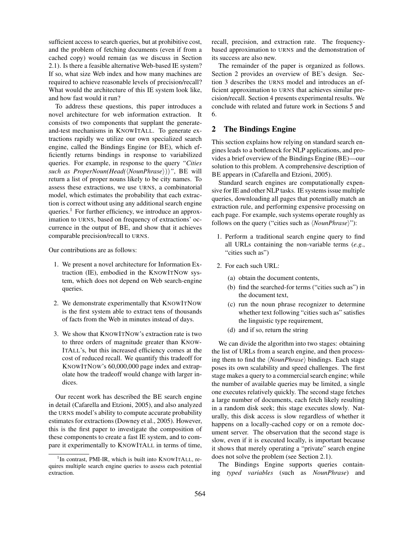sufficient access to search queries, but at prohibitive cost, and the problem of fetching documents (even if from a cached copy) would remain (as we discuss in Section 2.1). Is there a feasible alternative Web-based IE system? If so, what size Web index and how many machines are required to achieve reasonable levels of precision/recall? What would the architecture of this IE system look like, and how fast would it run?

To address these questions, this paper introduces a novel architecture for web information extraction. It consists of two components that supplant the generateand-test mechanisms in KNOWITALL. To generate extractions rapidly we utilize our own specialized search engine, called the Bindings Engine (or BE), which efficiently returns bindings in response to variabilized queries. For example, in response to the query *"Cities such as ProperNoun(Head(* $\langle NounPhrase \rangle$ ))", BE will return a list of proper nouns likely to be city names. To assess these extractions, we use URNS, a combinatorial model, which estimates the probability that each extraction is correct without using any additional search engine queries. $<sup>1</sup>$  For further efficiency, we introduce an approx-</sup> imation to URNS, based on frequency of extractions' occurrence in the output of BE, and show that it achieves comparable precision/recall to URNS.

Our contributions are as follows:

- 1. We present a novel architecture for Information Extraction (IE), embodied in the KNOWITNOW system, which does not depend on Web search-engine queries.
- 2. We demonstrate experimentally that KNOWITNOW is the first system able to extract tens of thousands of facts from the Web in minutes instead of days.
- 3. We show that KNOWITNOW's extraction rate is two to three orders of magnitude greater than KNOW-ITALL's, but this increased efficiency comes at the cost of reduced recall. We quantify this tradeoff for KNOWITNOW's 60,000,000 page index and extrapolate how the tradeoff would change with larger indices.

Our recent work has described the BE search engine in detail (Cafarella and Etzioni, 2005), and also analyzed the URNS model's ability to compute accurate probability estimates for extractions(Downey et al., 2005). However, this is the first paper to investigate the composition of these components to create a fast IE system, and to compare it experimentally to KNOWITALL in terms of time,

recall, precision, and extraction rate. The frequencybased approximation to URNS and the demonstration of its success are also new.

The remainder of the paper is organized as follows. Section 2 provides an overview of BE's design. Section 3 describes the URNS model and introduces an efficient approximation to URNS that achieves similar precision/recall. Section 4 presents experimental results. We conclude with related and future work in Sections 5 and 6.

## **2 The Bindings Engine**

This section explains how relying on standard search engines leads to a bottleneck for NLP applications, and provides a brief overview of the Bindings Engine (BE)—our solution to this problem. A comprehensive description of BE appears in (Cafarella and Etzioni, 2005).

Standard search engines are computationally expensive for IE and other NLP tasks. IE systems issue multiple queries, downloading all pages that potentially match an extraction rule, and performing expensive processing on each page. For example, such systems operate roughly as follows on the query ("cities such as  $\langle NounPhrase \rangle$ "):

- 1. Perform a traditional search engine query to find all URLs containing the non-variable terms (*e.g.*, "cities such as")
- 2. For each such URL:
	- (a) obtain the document contents,
	- (b) find the searched-for terms ("cities such as") in the document text,
	- (c) run the noun phrase recognizer to determine whether text following "cities such as" satisfies the linguistic type requirement,
	- (d) and if so, return the string

We can divide the algorithm into two stages: obtaining the list of URLs from a search engine, and then processing them to find the  $\langle NounPhrase \rangle$  bindings. Each stage poses its own scalability and speed challenges. The first stage makes a query to a commercial search engine; while the number of available queries may be limited, a single one executes relatively quickly. The second stage fetches a large number of documents, each fetch likely resulting in a random disk seek; this stage executes slowly. Naturally, this disk access is slow regardless of whether it happens on a locally-cached copy or on a remote document server. The observation that the second stage is slow, even if it is executed locally, is important because it shows that merely operating a "private" search engine does not solve the problem (see Section 2.1).

The Bindings Engine supports queries containing *typed variables* (such as *NounPhrase*) and

<sup>&</sup>lt;sup>1</sup>In contrast, PMI-IR, which is built into KNOWITALL, requires multiple search engine queries to assess each potential extraction.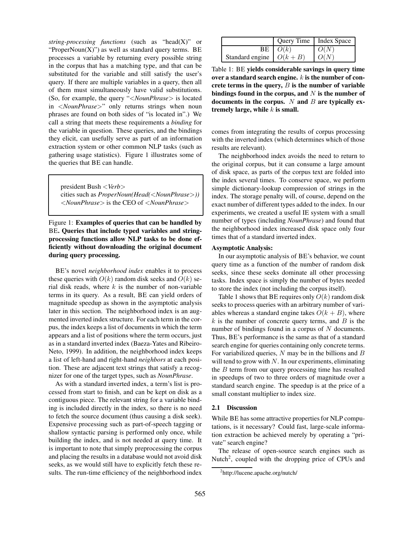*string-processing functions* (such as "head(X)" or "ProperNoun $(X)$ ") as well as standard query terms. BE processes a variable by returning every possible string in the corpus that has a matching type, and that can be substituted for the variable and still satisfy the user's query. If there are multiple variables in a query, then all of them must simultaneously have valid substitutions. (So, for example, the query "<*NounPhrase*> is located in <*NounPhrase*>" only returns strings when noun phrases are found on both sides of "is located in".) We call a string that meets these requirements a *binding* for the variable in question. These queries, and the bindings they elicit, can usefully serve as part of an information extraction system or other common NLP tasks (such as gathering usage statistics). Figure 1 illustrates some of the queries that BE can handle.

president Bush <*Verb*> cities such as *ProperNoun(Head(*<*NounPhrase*>*))* <*NounPhrase*> is the CEO of <*NounPhrase*>

## Figure 1: **Examples of queries that can be handled by** BE**. Queries that include typed variables and stringprocessing functions allow NLP tasks to be done efficiently without downloading the original document during query processing.**

BE's novel *neighborhood index* enables it to process these queries with  $O(k)$  random disk seeks and  $O(k)$  serial disk reads, where  $k$  is the number of non-variable terms in its query. As a result, BE can yield orders of magnitude speedup as shown in the asymptotic analysis later in this section. The neighborhood index is an augmented inverted index structure. For each term in the corpus, the index keeps a list of documents in which the term appears and a list of positions where the term occurs, just as in a standard inverted index (Baeza-Yates and Ribeiro-Neto, 1999). In addition, the neighborhood index keeps a list of left-hand and right-hand *neighbors* at each position. These are adjacent text strings that satisfy a recognizer for one of the target types, such as *NounPhrase*.

As with a standard inverted index, a term's list is processed from start to finish, and can be kept on disk as a contiguous piece. The relevant string for a variable binding is included directly in the index, so there is no need to fetch the source document (thus causing a disk seek). Expensive processing such as part-of-speech tagging or shallow syntactic parsing is performed only once, while building the index, and is not needed at query time. It is important to note that simply preprocessing the corpus and placing the results in a database would not avoid disk seeks, as we would still have to explicitly fetch these results. The run-time efficiency of the neighborhood index

|                                  | Query Time   Index Space |      |
|----------------------------------|--------------------------|------|
|                                  | $BE \mid O(k)$           | O(N) |
| Standard engine $\bigcup O(k+B)$ |                          | O(N) |

Table 1: BE **yields considerable savings in query time over a standard search engine.** k **is the number of concrete terms in the query,** B **is the number of variable bindings found in the corpus, and** N **is the number of documents in the corpus.** N **and** B **are typically extremely large, while** k **is small.**

comes from integrating the results of corpus processing with the inverted index (which determines which of those results are relevant).

The neighborhood index avoids the need to return to the original corpus, but it can consume a large amount of disk space, as parts of the corpus text are folded into the index several times. To conserve space, we perform simple dictionary-lookup compression of strings in the index. The storage penalty will, of course, depend on the exact number of different types added to the index. In our experiments, we created a useful IE system with a small number of types (including *NounPhrase*) and found that the neighborhood index increased disk space only four times that of a standard inverted index.

#### **Asymptotic Analysis:**

In our asymptotic analysis of BE's behavior, we count query time as a function of the number of random disk seeks, since these seeks dominate all other processing tasks. Index space is simply the number of bytes needed to store the index (not including the corpus itself).

Table 1 shows that BE requires only  $O(k)$  random disk seeks to process queries with an arbitrary number of variables whereas a standard engine takes  $O(k + B)$ , where  $k$  is the number of concrete query terms, and  $B$  is the number of bindings found in a corpus of  $N$  documents. Thus, BE's performance is the same as that of a standard search engine for queries containing only concrete terms. For variabilized queries,  $N$  may be in the billions and  $B$ will tend to grow with  $N$ . In our experiments, eliminating the  $B$  term from our query processing time has resulted in speedups of two to three orders of magnitude over a standard search engine. The speedup is at the price of a small constant multiplier to index size.

#### **2.1 Discussion**

While BE has some attractive properties for NLP computations, is it necessary? Could fast, large-scale information extraction be achieved merely by operating a "private" search engine?

The release of open-source search engines such as Nutch<sup>2</sup>, coupled with the dropping price of CPUs and

<sup>&</sup>lt;sup>2</sup>http://lucene.apache.org/nutch/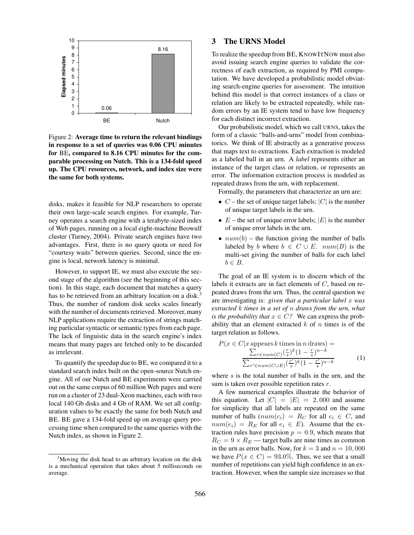

Figure 2: **Average time to return the relevant bindings in response to a set of queries was 0.06 CPU minutes for** BE**, compared to 8.16 CPU minutes for the comparable processing on Nutch. This is a 134-fold speed up. The CPU resources, network, and index size were the same for both systems.**

disks, makes it feasible for NLP researchers to operate their own large-scale search engines. For example, Turney operates a search engine with a terabyte-sized index of Web pages, running on a local eight-machine Beowulf cluster (Turney, 2004). Private search engines have two advantages. First, there is no query quota or need for "courtesy waits" between queries. Second, since the engine is local, network latency is minimal.

However, to support IE, we must also execute the second stage of the algorithm (see the beginning of this section). In this stage, each document that matches a query has to be retrieved from an arbitrary location on a disk.<sup>3</sup> Thus, the number of random disk seeks scales linearly with the number of documents retrieved. Moreover, many NLP applications require the extraction of strings matching particular syntactic or semantic types from each page. The lack of linguistic data in the search engine's index means that many pages are fetched only to be discarded as irrelevant.

To quantify the speedup due to BE, we compared it to a standard search index built on the open-source Nutch engine. All of our Nutch and BE experiments were carried out on the same corpus of 60 million Web pages and were run on a cluster of 23 dual-Xeon machines, each with two local 140 Gb disks and 4 Gb of RAM. We set all configuration values to be exactly the same for both Nutch and BE. BE gave a 134-fold speed up on average query processing time when compared to the same queries with the Nutch index, as shown in Figure 2.

# **3 The URNS Model**

To realize the speedup from BE, KNOWITNOW must also avoid issuing search engine queries to validate the correctness of each extraction, as required by PMI computation. We have developed a probabilistic model obviating search-engine queries for assessment. The intuition behind this model is that correct instances of a class or relation are likely to be extracted repeatedly, while random errors by an IE system tend to have low frequency for each distinct incorrect extraction.

Our probabilistic model, which we call URNS, takes the form of a classic "balls-and-urns" model from combinatorics. We think of IE abstractly as a generative process that maps text to extractions. Each extraction is modeled as a labeled ball in an urn. A *label* represents either an instance of the target class or relation, or represents an error. The information extraction process is modeled as repeated draws from the urn, with replacement.

Formally, the parameters that characterize an urn are:

- $C$  the set of unique target labels;  $|C|$  is the number of unique target labels in the urn.
- $E$  the set of unique error labels;  $|E|$  is the number of unique error labels in the urn.
- $num(b)$  the function giving the number of balls labeled by b where  $b \in C \cup E$ .  $num(B)$  is the multi-set giving the number of balls for each label  $b \in B$ .

The goal of an IE system is to discern which of the labels it extracts are in fact elements of C, based on repeated draws from the urn. Thus, the central question we are investigating is: *given that a particular label* x *was extracted* k *times in a set of* n *draws from the urn, what is the probability that*  $x \in C$ ? We can express the probability that an element extracted  $k$  of  $n$  times is of the target relation as follows.

$$
P(x \in C | x \text{ appears } k \text{ times in } n \text{ draws}) =
$$

$$
\frac{\sum_{r \in num(C)} (\frac{r}{s})^k (1 - \frac{r}{s})^{n-k}}{\sum_{r' \in num(C \cup E)} (\frac{r'}{s})^k (1 - \frac{r'}{s})^{n-k}}
$$
(1)

where  $s$  is the total number of balls in the urn, and the sum is taken over possible repetition rates r.

A few numerical examples illustrate the behavior of this equation. Let  $|C| = |E| = 2,000$  and assume for simplicity that all labels are repeated on the same number of balls  $(num(c_i) = R_C$  for all  $c_i \in C$ , and  $num(e_i) = R_E$  for all  $e_i \in E$ ). Assume that the extraction rules have precision  $p = 0.9$ , which means that  $R_C = 9 \times R_E$  — target balls are nine times as common in the urn as error balls. Now, for  $k = 3$  and  $n = 10,000$ we have  $P(x \in C) = 93.0\%$ . Thus, we see that a small number of repetitions can yield high confidence in an extraction. However, when the sample size increases so that

<sup>&</sup>lt;sup>3</sup>Moving the disk head to an arbitrary location on the disk is a mechanical operation that takes about 5 milliseconds on average.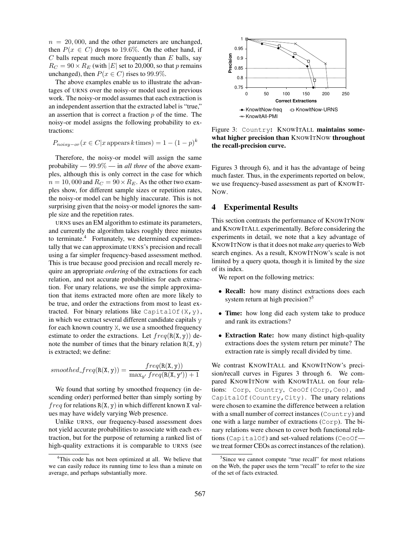$n = 20,000$ , and the other parameters are unchanged, then  $P(x \in C)$  drops to 19.6%. On the other hand, if  $C$  balls repeat much more frequently than  $E$  balls, say  $R_C = 90 \times R_E$  (with |E| set to 20,000, so that p remains unchanged), then  $P(x \in C)$  rises to 99.9%.

The above examples enable us to illustrate the advantages of URNS over the noisy-or model used in previous work. The noisy-or model assumes that each extraction is an independent assertion that the extracted label is "true," an assertion that is correct a fraction  $p$  of the time. The noisy-or model assigns the following probability to extractions:

$$
P_{noisy-or}(x \in C | x \text{ appears } k \text{ times}) = 1 - (1 - p)^k
$$

Therefore, the noisy-or model will assign the same probability — 99.9% — in *all three* of the above examples, although this is only correct in the case for which  $n = 10,000$  and  $R_C = 90 \times R_E$ . As the other two examples show, for different sample sizes or repetition rates, the noisy-or model can be highly inaccurate. This is not surprising given that the noisy-or model ignores the sample size and the repetition rates.

URNS uses an EM algorithm to estimate its parameters, and currently the algorithm takes roughly three minutes to terminate.<sup>4</sup> Fortunately, we determined experimentally that we can approximate URNS's precision and recall using a far simpler frequency-based assessment method. This is true because good precision and recall merely require an appropriate *ordering* of the extractions for each relation, and not accurate probabilities for each extraction. For unary relations, we use the simple approximation that items extracted more often are more likely to be true, and order the extractions from most to least extracted. For binary relations like CapitalOf $(X, y)$ , in which we extract several different candidate capitals y for each known country X, we use a smoothed frequency estimate to order the extractions. Let  $freq(R(X, y))$  denote the number of times that the binary relation  $R(X, y)$ is extracted; we define:

$$
smoothed\_freq(R(X,y)) = \frac{freq(R(X,y))}{\max_{y'} freq(R(X,y')) + 1}
$$

We found that sorting by smoothed frequency (in descending order) performed better than simply sorting by  $freq$  for relations  $R(X, y)$  in which different known X values may have widely varying Web presence.

Unlike URNS, our frequency-based assessment does not yield accurate probabilities to associate with each extraction, but for the purpose of returning a ranked list of high-quality extractions it is comparable to URNS (see



Figure 3: Country**:** KNOWITALL **maintains somewhat higher precision than** KNOWITNOW **throughout the recall-precision curve.**

Figures 3 through 6), and it has the advantage of being much faster. Thus, in the experiments reported on below, we use frequency-based assessment as part of KNOWIT-NOW.

### **4 Experimental Results**

This section contrasts the performance of KNOWITNOW and KNOWITALL experimentally. Before considering the experiments in detail, we note that a key advantage of KNOWITNOW is that it does not make *any* queriesto Web search engines. As a result, KNOWITNOW's scale is not limited by a query quota, though it is limited by the size of its index.

We report on the following metrics:

- **Recall:** how many distinct extractions does each system return at high precision?<sup>5</sup>
- **Time:** how long did each system take to produce and rank its extractions?
- **Extraction Rate:** how many distinct high-quality extractions does the system return per minute? The extraction rate is simply recall divided by time.

We contrast KNOWITALL and KNOWITNOW's precision/recall curves in Figures 3 through 6. We compared KNOWITNOW with KNOWITALL on four relations: Corp, Country, CeoOf(Corp,Ceo), and CapitalOf(Country, City). The unary relations were chosen to examine the difference between a relation with a small number of correct instances (Country) and one with a large number of extractions (Corp). The binary relations were chosen to cover both functional relations (CapitalOf) and set-valued relations (CeoOf we treat former CEOs as correct instances of the relation).

<sup>&</sup>lt;sup>4</sup>This code has not been optimized at all. We believe that we can easily reduce its running time to less than a minute on average, and perhaps substantially more.

<sup>&</sup>lt;sup>5</sup>Since we cannot compute "true recall" for most relations on the Web, the paper uses the term "recall" to refer to the size of the set of facts extracted.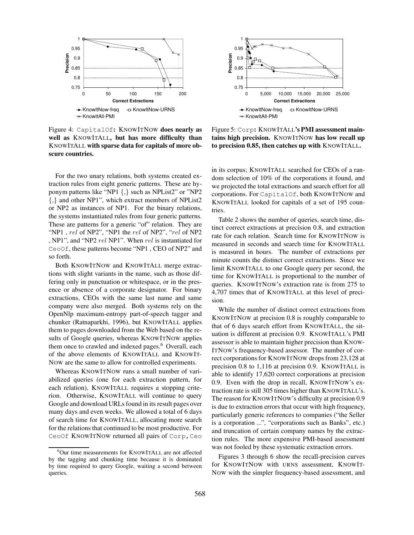

Figure 4: CapitalOf**:** KNOWITNOW **does nearly as well as** KNOWITALL**, but has more difficulty than** KNOWITALL **with sparse data for capitals of more obscure countries.**

For the two unary relations, both systems created extraction rules from eight generic patterns. These are hyponym patterns like "NP1 {,} such as NPList2" or "NP2 {,} and other NP1", which extract members of NPList2 or NP2 as instances of NP1. For the binary relations, the systems instantiated rules from four generic patterns. These are patterns for a generic "of" relation. They are "NP1, rel of NP2", "NP1 the rel of NP2", "rel of NP2" , NP1", and "NP2 rel NP1". When rel is instantiated for CeoOf, these patterns become "NP1 , CEO of NP2" and so forth.

Both KNOWITNOW and KNOWITALL merge extractions with slight variants in the name, such as those differing only in punctuation or whitespace, or in the presence or absence of a corporate designator. For binary extractions, CEOs with the same last name and same company were also merged. Both systems rely on the OpenNlp maximum-entropy part-of-speech tagger and chunker (Ratnaparkhi, 1996), but KNOWITALL applies them to pages downloaded from the Web based on the results of Google queries, whereas KNOWITNOW applies them once to crawled and indexed pages.<sup>6</sup> Overall, each of the above elements of KNOWITALL and KNOWIT-NOW are the same to allow for controlled experiments.

Whereas KNOWITNOW runs a small number of variabilized queries (one for each extraction pattern, for each relation), KNOWITALL requires a stopping criterion. Otherwise, KNOWITALL will continue to query Google and download URLs found in its result pages over many days and even weeks. We allowed a total of 6 days of search time for KNOWITALL, allocating more search for the relations that continued to be most productive. For CeoOf KNOWITNOW returned all pairs of Corp, Ceo



Figure 5: Corp**:** KNOWITALL**'s PMI assessment maintains high precision.** KNOWITNOW **has low recall up to precision 0.85, then catches up with** KNOWITALL**.**

in its corpus; KNOWITALL searched for CEOs of a random selection of 10% of the corporations it found, and we projected the total extractions and search effort for all corporations. For CapitalOf, both KNOWITNOW and KNOWITALL looked for capitals of a set of 195 countries.

Table 2 shows the number of queries, search time, distinct correct extractions at precision 0.8, and extraction rate for each relation. Search time for KNOWITNOW is measured in seconds and search time for KNOWITALL is measured in hours. The number of extractions per minute counts the distinct correct extractions. Since we limit KNOWITALL to one Google query per second, the time for KNOWITALL is proportional to the number of queries. KNOWITNOW's extraction rate is from 275 to 4,707 times that of KNOWITALL at this level of precision.

While the number of distinct correct extractions from KNOWITNOW at precision 0.8 is roughly comparable to that of 6 days search effort from KNOWITALL, the situation is different at precision 0.9. KNOWITALL's PMI assessor is able to maintain higher precision than KNOW-ITNOW's frequency-based assessor. The number of correct corporations for KNOWITNOW drops from 23,128 at precision 0.8 to 1,116 at precision 0.9. KNOWITALL is able to identify 17,620 correct corporations at precision 0.9. Even with the drop in recall, KNOWITNOW's extraction rate is still 305 times higher than KNOWITALL's. The reason for KNOWITNOW's difficulty at precision 0.9 is due to extraction errors that occur with high frequency, particularly generic references to companies ("the Seller is a corporation ...", "corporations such as Banks", etc.) and truncation of certain company names by the extraction rules. The more expensive PMI-based assessment was not fooled by these systematic extraction errors.

Figures 3 through 6 show the recall-precision curves for KNOWITNOW with URNS assessment, KNOWIT-NOW with the simpler frequency-based assessment, and

<sup>6</sup>Our time measurements for KNOWITALL are not affected by the tagging and chunking time because it is dominated by time required to query Google, waiting a second between queries.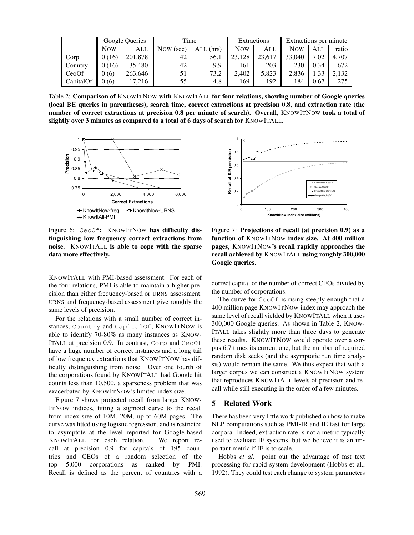|           | Google Queries |         | Time      |           | <b>Extractions</b> |        | Extractions per minute |      |       |
|-----------|----------------|---------|-----------|-----------|--------------------|--------|------------------------|------|-------|
|           | <b>Now</b>     | ALL     | Now (sec) | ALL (hrs) | <b>Now</b>         | ALL    | <b>Now</b>             | All  | ratio |
| Corp      | 0(16)          | 201,878 | 42        | 56.1      | .128               | 23.617 | 33,040                 | 7.02 | 4.707 |
| Country   | 0(16)          | 35.480  | 42        | 9.9       | 161                | 203    | 230                    | 0.34 | 672   |
| CeoOf     | 0(6)           | 263.646 | 51        | 73.2      | 2.402              | 5,823  | 2.836                  |      | 2.132 |
| CapitalOf | (6)            | 17.216  | 55        | 4.8       | 169                | 192    | 184                    | 0.67 | 275   |

Table 2: **Comparison of** KNOWITNOW **with** KNOWITALL **for four relations, showing number of Google queries (local** BE **queries in parentheses), search time, correct extractions at precision 0.8, and extraction rate (the number of correct extractions at precision 0.8 per minute of search). Overall,** KNOWITNOW **took a total of slightly over 3 minutes as compared to a total of 6 days of search for** KNOWITALL**.**



Figure 6: CeoOf**:** KNOWITNOW **has difficulty distinguishing low frequency correct extractions from noise.** KNOWITALL **is able to cope with the sparse data more effectively.**

KNOWITALL with PMI-based assessment. For each of the four relations, PMI is able to maintain a higher precision than either frequency-based or URNS assessment. URNS and frequency-based assessment give roughly the same levels of precision.

For the relations with a small number of correct instances, Country and CapitalOf, KNOWITNOW is able to identify 70-80% as many instances as KNOW-ITALL at precision 0.9. In contrast, Corp and CeoOf have a huge number of correct instances and a long tail of low frequency extractions that KNOWITNOW has difficulty distinguishing from noise. Over one fourth of the corporations found by KNOWITALL had Google hit counts less than 10,500, a sparseness problem that was exacerbated by KNOWITNOW's limited index size.

Figure 7 shows projected recall from larger KNOW-ITNOW indices, fitting a sigmoid curve to the recall from index size of 10M, 20M, up to 60M pages. The curve was fitted using logistic regression, and is restricted to asymptote at the level reported for Google-based KNOWITALL for each relation. We report recall at precision 0.9 for capitals of 195 countries and CEOs of a random selection of the top 5,000 corporations as ranked by PMI. Recall is defined as the percent of countries with a



Figure 7: **Projections of recall (at precision 0.9) as a function of** KNOWITNOW **index size. At 400 million pages,** KNOWITNOW**'s recall rapidly approaches the recall achieved by** KNOWITALL **using roughly 300,000 Google queries.**

correct capital or the number of correct CEOs divided by the number of corporations.

The curve for CeoOf is rising steeply enough that a 400 million page KNOWITNOW index may approach the same level of recall yielded by KNOWITALL when it uses 300,000 Google queries. As shown in Table 2, KNOW-ITALL takes slightly more than three days to generate these results. KNOWITNOW would operate over a corpus 6.7 times its current one, but the number of required random disk seeks (and the asymptotic run time analysis) would remain the same. We thus expect that with a larger corpus we can construct a KNOWITNOW system that reproduces KNOWITALL levels of precision and recall while still executing in the order of a few minutes.

#### **5 Related Work**

There has been very little work published on how to make NLP computations such as PMI-IR and IE fast for large corpora. Indeed, extraction rate is not a metric typically used to evaluate IE systems, but we believe it is an important metric if IE is to scale.

Hobbs *et al.* point out the advantage of fast text processing for rapid system development (Hobbs et al., 1992). They could test each change to system parameters